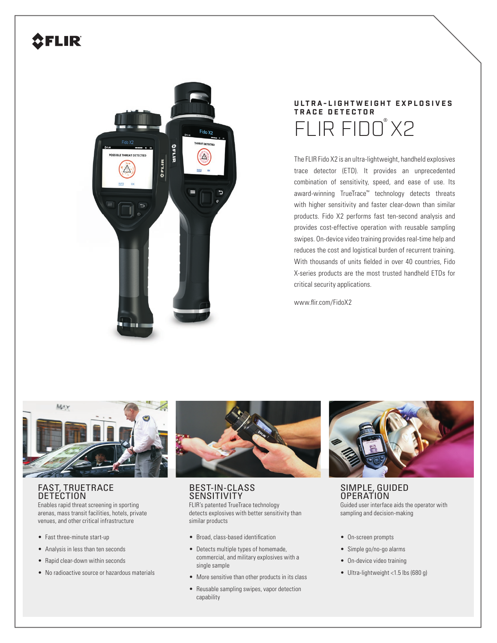# **SFLIR**



# **U LT R A - L I G H T W E I G H T E X P L O S I V E S TRACE DETECTOR** FLIR FIDO<sup>®</sup>X2

The FLIR Fido X2 is an ultra-lightweight, handheld explosives trace detector (ETD). It provides an unprecedented combination of sensitivity, speed, and ease of use. Its award-winning TrueTrace™ technology detects threats with higher sensitivity and faster clear-down than similar products. Fido X2 performs fast ten-second analysis and provides cost-effective operation with reusable sampling swipes. On-device video training provides real-time help and reduces the cost and logistical burden of recurrent training. With thousands of units fielded in over 40 countries. Fido X-series products are the most trusted handheld ETDs for critical security applications.

www.flir.com/FidoX2



# FAST, TRUETRACE **DETECTION**

Enables rapid threat screening in sporting arenas, mass transit facilities, hotels, private venues, and other critical infrastructure

- Fast three-minute start-up
- Analysis in less than ten seconds
- Rapid clear-down within seconds
- No radioactive source or hazardous materials



## BEST-IN-CLASS **SENSITIVITY**

FLIR's patented TrueTrace technology detects explosives with better sensitivity than similar products

- Broad, class-based identification
- Detects multiple types of homemade, commercial, and military explosives with a single sample
- More sensitive than other products in its class
- Reusable sampling swipes, vapor detection capability



SIMPLE, GUIDED OPERATION Guided user interface aids the operator with sampling and decision-making

- On-screen prompts
- Simple go/no-go alarms
- On-device video training
- Ultra-lightweight <1.5 lbs (680 g)